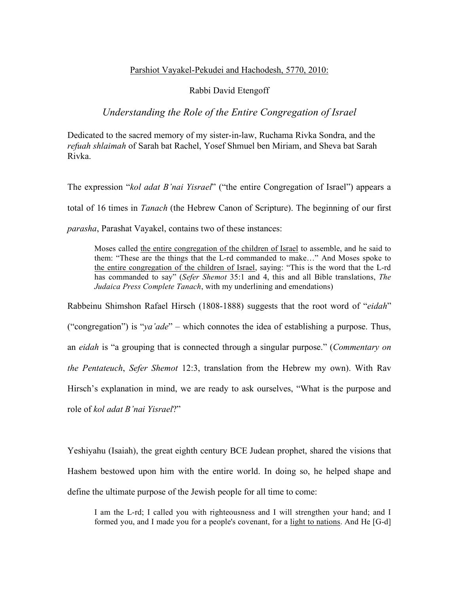## Parshiot Vayakel-Pekudei and Hachodesh, 5770, 2010:

## Rabbi David Etengoff

## *Understanding the Role of the Entire Congregation of Israel*

Dedicated to the sacred memory of my sister-in-law, Ruchama Rivka Sondra, and the *refuah shlaimah* of Sarah bat Rachel, Yosef Shmuel ben Miriam, and Sheva bat Sarah Rivka.

The expression "*kol adat B'nai Yisrael*" ("the entire Congregation of Israel") appears a total of 16 times in *Tanach* (the Hebrew Canon of Scripture). The beginning of our first *parasha*, Parashat Vayakel, contains two of these instances:

Moses called the entire congregation of the children of Israel to assemble, and he said to them: "These are the things that the L-rd commanded to make…" And Moses spoke to the entire congregation of the children of Israel, saying: "This is the word that the L-rd has commanded to say" (*Sefer Shemot* 35:1 and 4, this and all Bible translations, *The Judaica Press Complete Tanach*, with my underlining and emendations)

Rabbeinu Shimshon Rafael Hirsch (1808-1888) suggests that the root word of "*eidah*" ("congregation") is "*ya'ade*" – which connotes the idea of establishing a purpose. Thus, an *eidah* is "a grouping that is connected through a singular purpose." (*Commentary on the Pentateuch*, *Sefer Shemot* 12:3, translation from the Hebrew my own). With Rav Hirsch's explanation in mind, we are ready to ask ourselves, "What is the purpose and role of *kol adat B'nai Yisrael*?"

Yeshiyahu (Isaiah), the great eighth century BCE Judean prophet, shared the visions that Hashem bestowed upon him with the entire world. In doing so, he helped shape and define the ultimate purpose of the Jewish people for all time to come:

I am the L-rd; I called you with righteousness and I will strengthen your hand; and I formed you, and I made you for a people's covenant, for a light to nations. And He [G-d]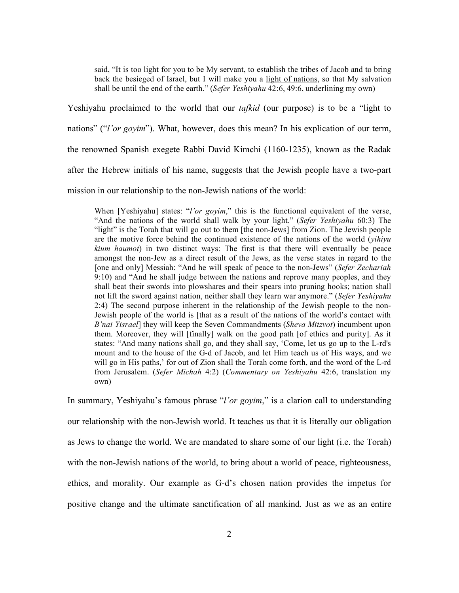said, "It is too light for you to be My servant, to establish the tribes of Jacob and to bring back the besieged of Israel, but I will make you a light of nations, so that My salvation shall be until the end of the earth." (*Sefer Yeshiyahu* 42:6, 49:6, underlining my own)

Yeshiyahu proclaimed to the world that our *tafkid* (our purpose) is to be a "light to nations" ("*l'or goyim*"). What, however, does this mean? In his explication of our term, the renowned Spanish exegete Rabbi David Kimchi (1160-1235), known as the Radak after the Hebrew initials of his name, suggests that the Jewish people have a two-part mission in our relationship to the non-Jewish nations of the world:

When [Yeshiyahu] states: "*l'or goyim*," this is the functional equivalent of the verse, "And the nations of the world shall walk by your light." (*Sefer Yeshiyahu* 60:3) The "light" is the Torah that will go out to them [the non-Jews] from Zion. The Jewish people are the motive force behind the continued existence of the nations of the world (*yihiyu kium haumot*) in two distinct ways: The first is that there will eventually be peace amongst the non-Jew as a direct result of the Jews, as the verse states in regard to the [one and only] Messiah: "And he will speak of peace to the non-Jews" (*Sefer Zechariah*  9:10) and "And he shall judge between the nations and reprove many peoples, and they shall beat their swords into plowshares and their spears into pruning hooks; nation shall not lift the sword against nation, neither shall they learn war anymore." (*Sefer Yeshiyahu*  2:4) The second purpose inherent in the relationship of the Jewish people to the non-Jewish people of the world is [that as a result of the nations of the world's contact with *B'nai Yisrael*] they will keep the Seven Commandments (*Sheva Mitzvot*) incumbent upon them. Moreover, they will [finally] walk on the good path [of ethics and purity]. As it states: "And many nations shall go, and they shall say, 'Come, let us go up to the L-rd's mount and to the house of the G-d of Jacob, and let Him teach us of His ways, and we will go in His paths,' for out of Zion shall the Torah come forth, and the word of the L-rd from Jerusalem. (*Sefer Michah* 4:2) (*Commentary on Yeshiyahu* 42:6, translation my own)

In summary, Yeshiyahu's famous phrase "*l'or goyim*," is a clarion call to understanding our relationship with the non-Jewish world. It teaches us that it is literally our obligation as Jews to change the world. We are mandated to share some of our light (i.e. the Torah) with the non-Jewish nations of the world, to bring about a world of peace, righteousness, ethics, and morality. Our example as G-d's chosen nation provides the impetus for positive change and the ultimate sanctification of all mankind. Just as we as an entire